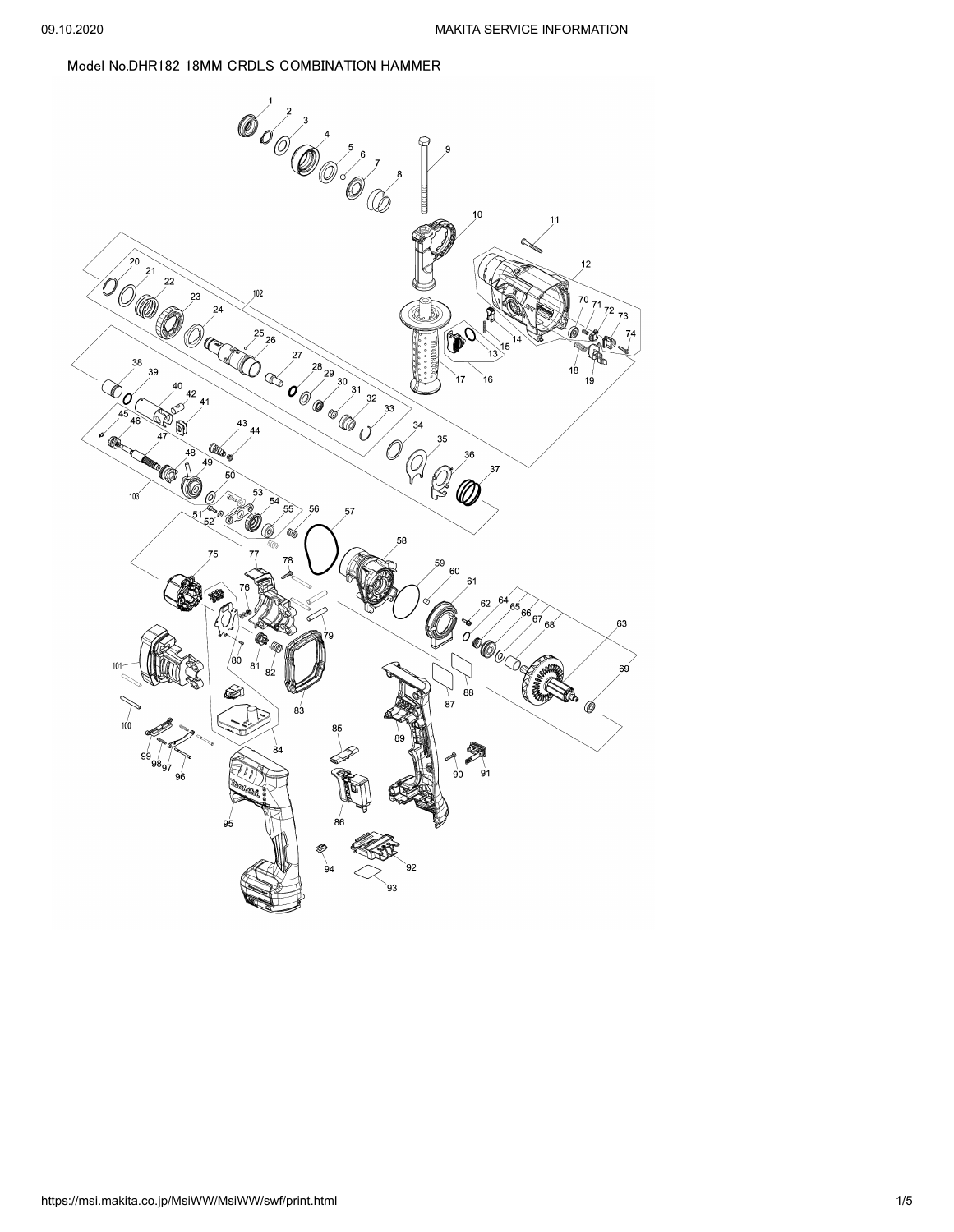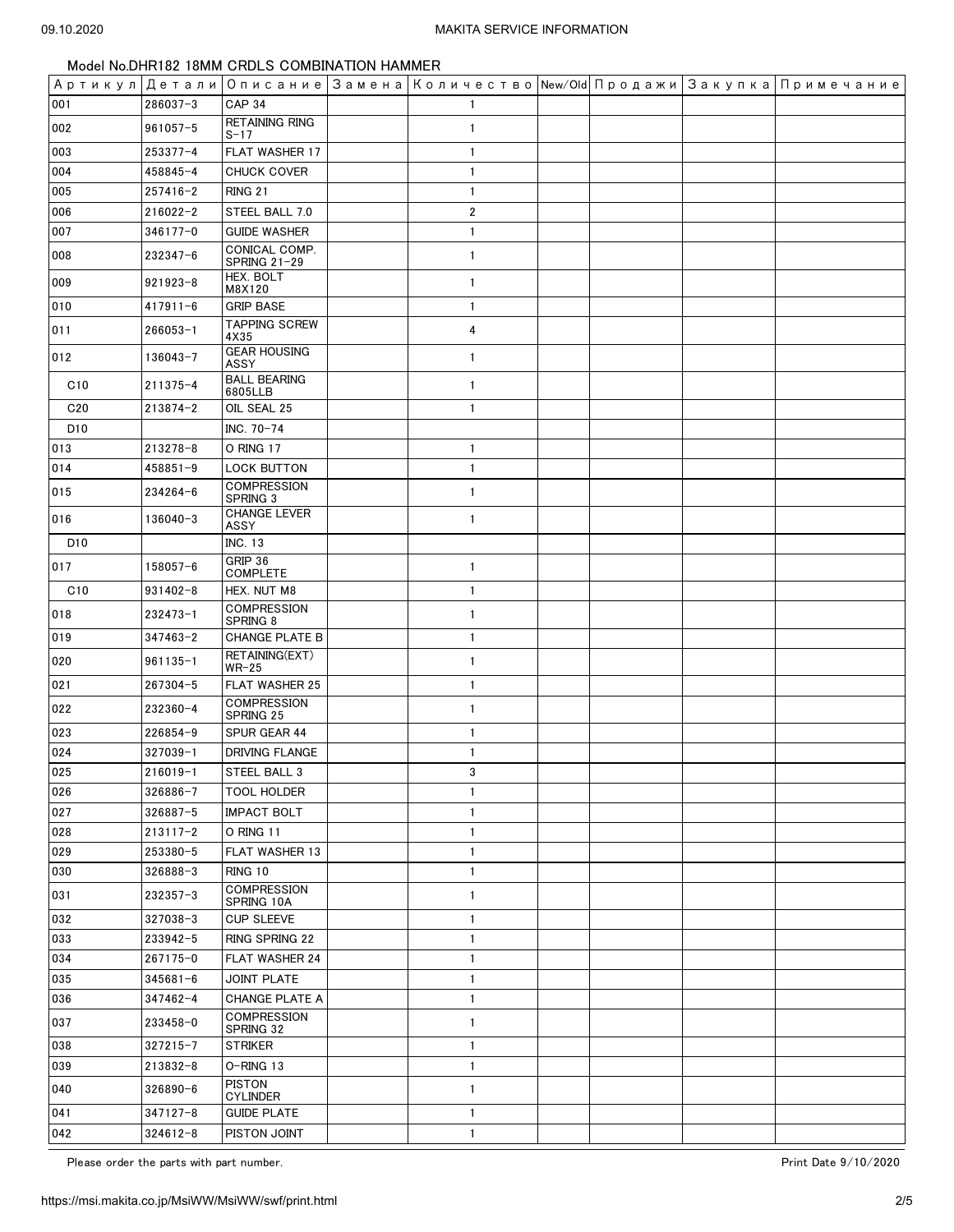|                 |              |                                   |                |  | Артикул  Детали   Описание   Замена   Количество   New/Old   Продажи   Закупка   Примечание |
|-----------------|--------------|-----------------------------------|----------------|--|---------------------------------------------------------------------------------------------|
| 001             | 286037-3     | <b>CAP 34</b>                     |                |  |                                                                                             |
| 002             | 961057-5     | <b>RETAINING RING</b><br>$S - 17$ | $\mathbf{1}$   |  |                                                                                             |
| 003             | 253377-4     | FLAT WASHER 17                    | $\mathbf{1}$   |  |                                                                                             |
| 004             | 458845-4     | CHUCK COVER                       | $\mathbf{1}$   |  |                                                                                             |
| 005             | $257416 - 2$ | <b>RING 21</b>                    | $\mathbf{1}$   |  |                                                                                             |
| 006             | $216022 - 2$ | STEEL BALL 7.0                    | $\overline{2}$ |  |                                                                                             |
| 007             | 346177-0     | <b>GUIDE WASHER</b>               | $\mathbf{1}$   |  |                                                                                             |
| 008             | $232347 - 6$ | CONICAL COMP.<br>SPRING 21-29     | $\mathbf{1}$   |  |                                                                                             |
| 009             | $921923 - 8$ | HEX. BOLT<br>M8X120               | $\mathbf{1}$   |  |                                                                                             |
| 010             | $417911 - 6$ | <b>GRIP BASE</b>                  | $\mathbf{1}$   |  |                                                                                             |
| 011             | 266053-1     | <b>TAPPING SCREW</b><br>4X35      | 4              |  |                                                                                             |
| 012             | 136043-7     | <b>GEAR HOUSING</b><br>ASSY       | $\mathbf{1}$   |  |                                                                                             |
| C10             | 211375-4     | <b>BALL BEARING</b><br>6805LLB    | $\mathbf{1}$   |  |                                                                                             |
| C <sub>20</sub> | $213874 - 2$ | OIL SEAL 25                       | $\mathbf{1}$   |  |                                                                                             |
| D <sub>10</sub> |              | INC. 70-74                        |                |  |                                                                                             |
| 013             | 213278-8     | O RING 17                         | $\mathbf{1}$   |  |                                                                                             |
| 014             | 458851-9     | <b>LOCK BUTTON</b>                | $\mathbf{1}$   |  |                                                                                             |
| 015             | 234264-6     | <b>COMPRESSION</b><br>SPRING 3    | $\mathbf{1}$   |  |                                                                                             |
| 016             | 136040-3     | CHANGE LEVER<br>ASSY              | $\mathbf{1}$   |  |                                                                                             |
| D <sub>10</sub> |              | <b>INC. 13</b>                    |                |  |                                                                                             |
| 017             | 158057-6     | GRIP 36<br><b>COMPLETE</b>        | $\mathbf{1}$   |  |                                                                                             |
| C10             | $931402 - 8$ | HEX. NUT M8                       | $\mathbf{1}$   |  |                                                                                             |
| 018             | 232473-1     | <b>COMPRESSION</b><br>SPRING 8    | $\mathbf{1}$   |  |                                                                                             |
| 019             | $347463 - 2$ | <b>CHANGE PLATE B</b>             | $\mathbf{1}$   |  |                                                                                             |
| 020             | $961135 - 1$ | RETAINING(EXT)<br>$WR-25$         | $\mathbf{1}$   |  |                                                                                             |
| 021             | 267304-5     | <b>FLAT WASHER 25</b>             | $\mathbf{1}$   |  |                                                                                             |
| 022             | 232360-4     | <b>COMPRESSION</b><br>SPRING 25   | $\mathbf{1}$   |  |                                                                                             |
| 023             | 226854-9     | SPUR GEAR 44                      | $\mathbf{1}$   |  |                                                                                             |
| 024             | $327039 - 1$ | <b>DRIVING FLANGE</b>             | $\mathbf{1}$   |  |                                                                                             |
| 025             | $216019 - 1$ | STEEL BALL 3                      | 3 <sup>1</sup> |  |                                                                                             |
| 026             | $326886 - 7$ | <b>TOOL HOLDER</b>                | $\mathbf{1}$   |  |                                                                                             |
| 027             | 326887-5     | <b>IMPACT BOLT</b>                | 1              |  |                                                                                             |
| 028             | $213117 - 2$ | O RING 11                         | 1              |  |                                                                                             |
| 029             | 253380-5     | <b>FLAT WASHER 13</b>             | 1              |  |                                                                                             |
| 030             | 326888-3     | RING 10                           | $\mathbf{1}$   |  |                                                                                             |
| 031             | 232357-3     | <b>COMPRESSION</b><br>SPRING 10A  | $\mathbf{1}$   |  |                                                                                             |
| 032             | 327038-3     | <b>CUP SLEEVE</b>                 | 1              |  |                                                                                             |
| 033             | 233942-5     | RING SPRING 22                    | 1              |  |                                                                                             |
| 034             | 267175-0     | FLAT WASHER 24                    | 1              |  |                                                                                             |
| 035             | $345681 - 6$ | <b>JOINT PLATE</b>                | $\mathbf{1}$   |  |                                                                                             |
| 036             | $347462 - 4$ | CHANGE PLATE A                    | 1              |  |                                                                                             |
| 037             | 233458-0     | <b>COMPRESSION</b><br>SPRING 32   | 1              |  |                                                                                             |
| 038             | $327215 - 7$ | <b>STRIKER</b>                    | $\mathbf{1}$   |  |                                                                                             |
| 039             | 213832-8     | O-RING 13                         | 1              |  |                                                                                             |
| 040             | 326890-6     | <b>PISTON</b><br><b>CYLINDER</b>  | 1              |  |                                                                                             |
| 041             | $347127 - 8$ | <b>GUIDE PLATE</b>                | $\mathbf{1}$   |  |                                                                                             |
| 042             | $324612 - 8$ | PISTON JOINT                      | $\mathbf{1}$   |  |                                                                                             |

Please order the parts with part number. The part of the set of the part of the parts with part number.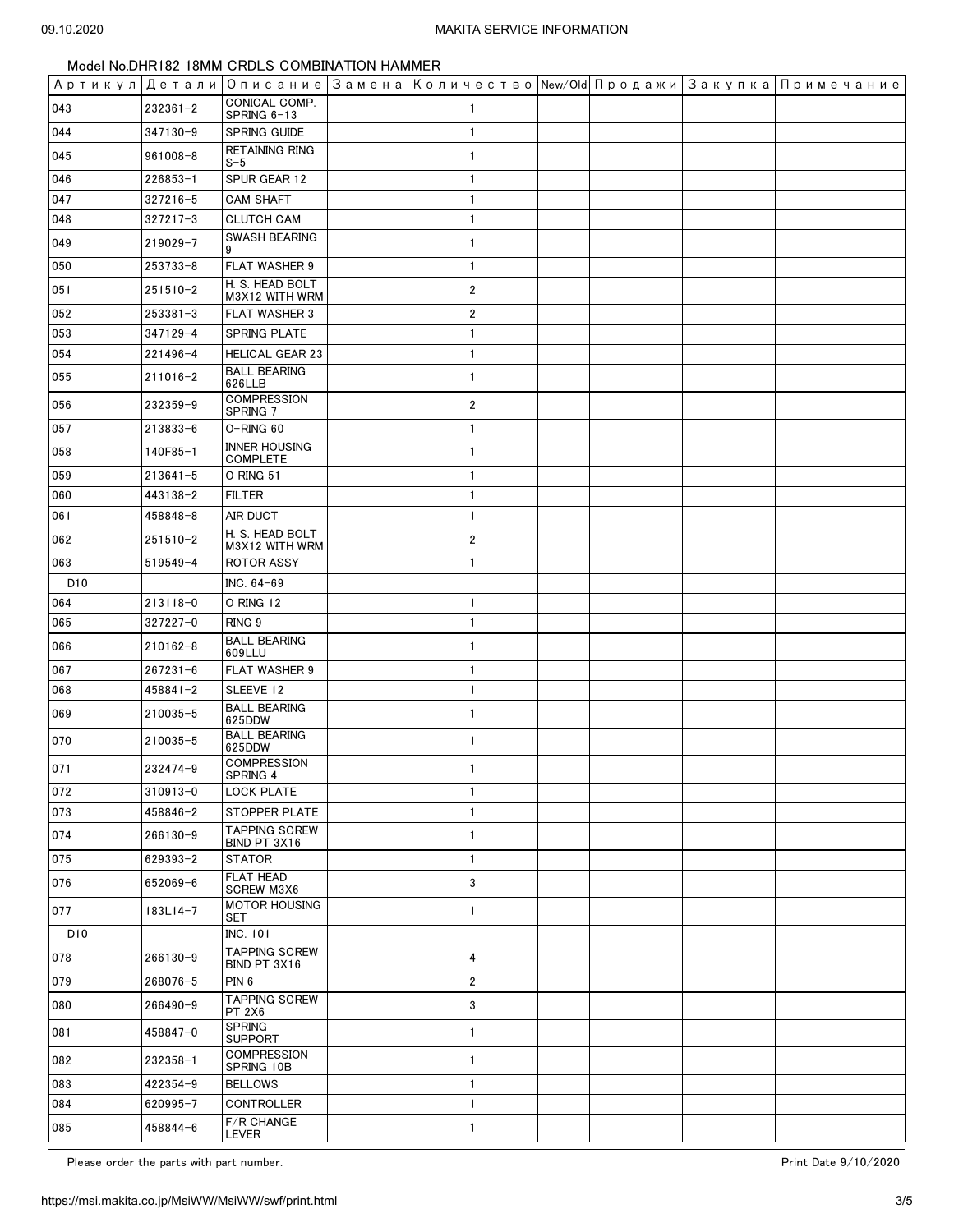|                 |              |                                         |                         |  | Артикул Детали Описание Замена Количество New/Old Продажи Закупка Примечание |
|-----------------|--------------|-----------------------------------------|-------------------------|--|------------------------------------------------------------------------------|
| 043             | $232361 - 2$ | CONICAL COMP.<br>SPRING 6-13            | 1                       |  |                                                                              |
| 044             | 347130-9     | SPRING GUIDE                            | $\mathbf{1}$            |  |                                                                              |
| 045             | $961008 - 8$ | <b>RETAINING RING</b><br>$S-5$          | $\mathbf{1}$            |  |                                                                              |
| 046             | 226853-1     | SPUR GEAR 12                            | $\mathbf{1}$            |  |                                                                              |
| 047             | $327216 - 5$ | <b>CAM SHAFT</b>                        | $\mathbf{1}$            |  |                                                                              |
| 048             | $327217 - 3$ | <b>CLUTCH CAM</b>                       | $\mathbf{1}$            |  |                                                                              |
| 049             | 219029-7     | SWASH BEARING                           | $\mathbf{1}$            |  |                                                                              |
| 050             | 253733-8     | FLAT WASHER 9                           | $\mathbf{1}$            |  |                                                                              |
| 051             | $251510 - 2$ | H. S. HEAD BOLT<br>M3X12 WITH WRM       | $\overline{2}$          |  |                                                                              |
| 052             | $253381 - 3$ | FLAT WASHER 3                           | $\overline{2}$          |  |                                                                              |
| 053             | 347129-4     | SPRING PLATE                            | $\mathbf{1}$            |  |                                                                              |
| 054             | 221496-4     | <b>HELICAL GEAR 23</b>                  | $\mathbf{1}$            |  |                                                                              |
| 055             | $211016 - 2$ | <b>BALL BEARING</b><br>626LLB           | $\mathbf{1}$            |  |                                                                              |
| 056             | 232359-9     | <b>COMPRESSION</b><br>SPRING 7          | $\overline{\mathbf{c}}$ |  |                                                                              |
| 057             | 213833-6     | O-RING 60                               | $\mathbf{1}$            |  |                                                                              |
| 058             | 140F85-1     | <b>INNER HOUSING</b><br><b>COMPLETE</b> | $\mathbf{1}$            |  |                                                                              |
| 059             | $213641 - 5$ | O RING 51                               | $\mathbf{1}$            |  |                                                                              |
| 060             | 443138-2     | <b>FILTER</b>                           | $\mathbf{1}$            |  |                                                                              |
| 061             | 458848-8     | AIR DUCT                                | $\mathbf{1}$            |  |                                                                              |
| 062             | 251510-2     | H. S. HEAD BOLT<br>M3X12 WITH WRM       | $\overline{\mathbf{c}}$ |  |                                                                              |
| 063             | $519549 - 4$ | ROTOR ASSY                              | $\mathbf{1}$            |  |                                                                              |
| D <sub>10</sub> |              | INC. 64-69                              |                         |  |                                                                              |
| 064             | 213118-0     | O RING 12                               | $\mathbf{1}$            |  |                                                                              |
| 065             | 327227-0     | RING <sub>9</sub>                       | $\mathbf{1}$            |  |                                                                              |
| 066             | $210162 - 8$ | <b>BALL BEARING</b><br>609LLU           | $\mathbf{1}$            |  |                                                                              |
| 067             | $267231 - 6$ | FLAT WASHER 9                           | $\mathbf{1}$            |  |                                                                              |
| 068             | $458841 - 2$ | SLEEVE 12                               | $\mathbf{1}$            |  |                                                                              |
| 069             | 210035-5     | <b>BALL BEARING</b><br>625DDW           | $\mathbf{1}$            |  |                                                                              |
| 070             | 210035-5     | <b>BALL BEARING</b><br>625DDW           | $\mathbf{1}$            |  |                                                                              |
| 071             | 232474-9     | <b>COMPRESSION</b><br>SPRING 4          | $\mathbf{1}$            |  |                                                                              |
| 072             | $310913 - 0$ | <b>LOCK PLATE</b>                       | $\mathbf{1}$            |  |                                                                              |
| 073             | 458846-2     | <b>STOPPER PLATE</b>                    | $\mathbf{1}$            |  |                                                                              |
| 074             | 266130-9     | <b>TAPPING SCREW</b><br>BIND PT 3X16    | $\mathbf{1}$            |  |                                                                              |
| 075             | 629393-2     | <b>STATOR</b>                           | $\mathbf{1}$            |  |                                                                              |
| 076             | 652069-6     | FLAT HEAD<br><b>SCREW M3X6</b>          | 3                       |  |                                                                              |
| 077             | 183L14-7     | <b>MOTOR HOUSING</b><br>SET             | $\mathbf{1}$            |  |                                                                              |
| D <sub>10</sub> |              | <b>INC. 101</b>                         |                         |  |                                                                              |
| 078             | 266130-9     | <b>TAPPING SCREW</b><br>BIND PT 3X16    | 4                       |  |                                                                              |
| 079             | 268076-5     | PIN <sub>6</sub>                        | $\overline{\mathbf{2}}$ |  |                                                                              |
| 080             | 266490-9     | <b>TAPPING SCREW</b><br><b>PT 2X6</b>   | 3                       |  |                                                                              |
| 081             | 458847-0     | <b>SPRING</b><br><b>SUPPORT</b>         | $\mathbf{1}$            |  |                                                                              |
| 082             | 232358-1     | <b>COMPRESSION</b><br>SPRING 10B        | $\mathbf{1}$            |  |                                                                              |
| 083             | 422354-9     | <b>BELLOWS</b>                          | $\mathbf{1}$            |  |                                                                              |
| 084             | 620995-7     | CONTROLLER                              | $\mathbf{1}$            |  |                                                                              |
| 085             | 458844-6     | F/R CHANGE<br>LEVER                     | 1                       |  |                                                                              |

Please order the parts with part number.  $\blacksquare$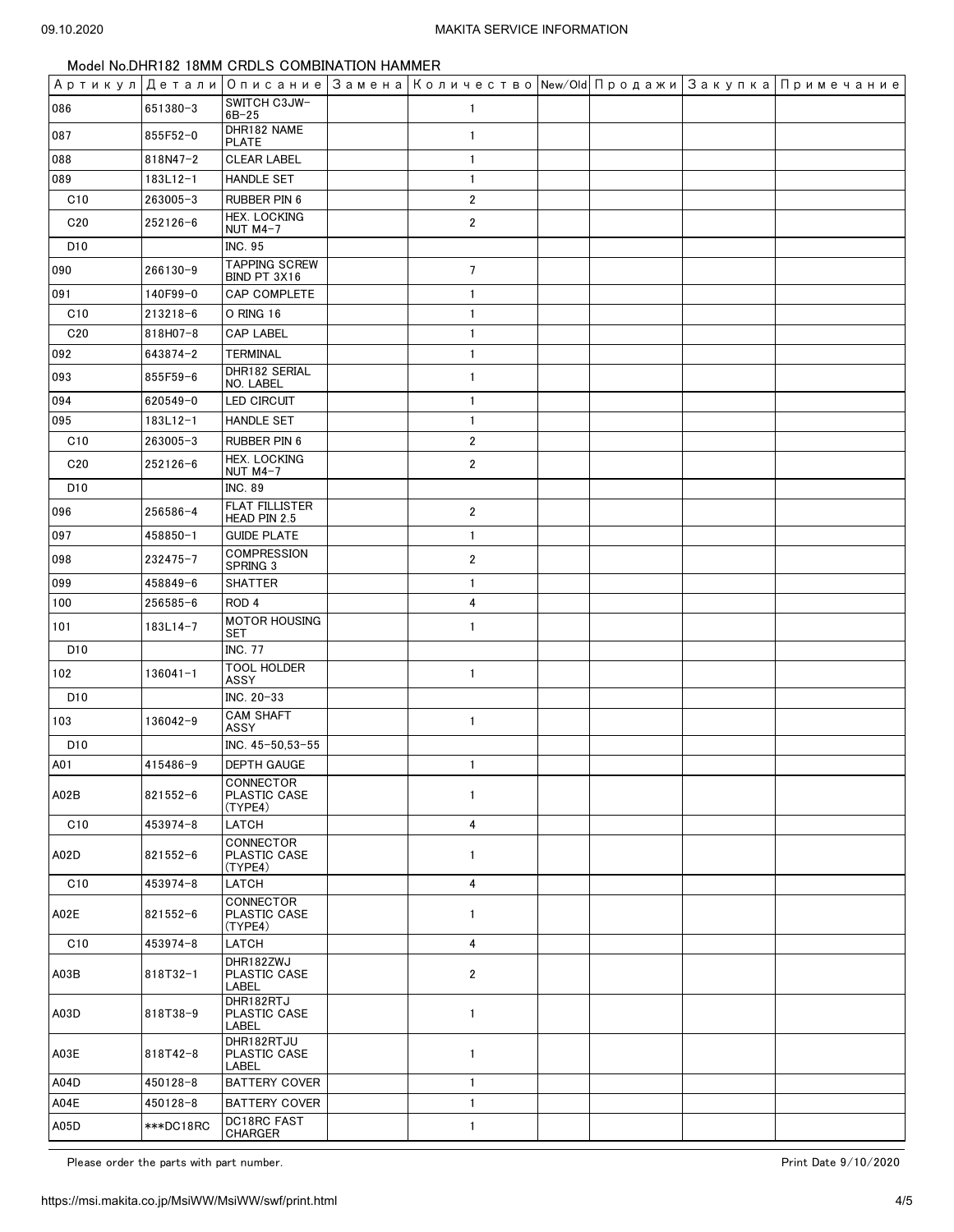|                 |              |                                        | Артикул  Детали  Описание  Замена  Количество  New/Old  Продажи  Закупка  Примечание |  |  |
|-----------------|--------------|----------------------------------------|--------------------------------------------------------------------------------------|--|--|
| 086             | 651380-3     | SWITCH C3JW-<br>$6B - 25$              | 1                                                                                    |  |  |
| 087             | 855F52-0     | DHR182 NAME<br>PLATE                   | $\mathbf{1}$                                                                         |  |  |
| 088             | 818N47-2     | <b>CLEAR LABEL</b>                     | $\mathbf{1}$                                                                         |  |  |
| 089             | 183L12-1     | <b>HANDLE SET</b>                      | $\mathbf{1}$                                                                         |  |  |
| C10             | 263005-3     | RUBBER PIN 6                           | $\overline{2}$                                                                       |  |  |
| C <sub>20</sub> | 252126-6     | <b>HEX. LOCKING</b><br><b>NUT M4-7</b> | $\mathbf{2}$                                                                         |  |  |
| D <sub>10</sub> |              | INC. 95                                |                                                                                      |  |  |
| 090             | 266130-9     | <b>TAPPING SCREW</b><br>BIND PT 3X16   | $\overline{7}$                                                                       |  |  |
| 091             | 140F99-0     | CAP COMPLETE                           | $\mathbf{1}$                                                                         |  |  |
| C10             | $213218 - 6$ | O RING 16                              | $\mathbf{1}$                                                                         |  |  |
| C <sub>20</sub> | 818H07-8     | <b>CAP LABEL</b>                       | $\mathbf{1}$                                                                         |  |  |
| 092             | 643874-2     | <b>TERMINAL</b>                        | $\mathbf{1}$                                                                         |  |  |
| 093             | 855F59-6     | DHR182 SERIAL<br>NO. LABEL             | $\mathbf{1}$                                                                         |  |  |
| 094             | 620549-0     | LED CIRCUIT                            | $\mathbf{1}$                                                                         |  |  |
| 095             | 183L12-1     | <b>HANDLE SET</b>                      | $\mathbf{1}$                                                                         |  |  |
| C10             | 263005-3     | RUBBER PIN 6                           | $\mathbf{2}$                                                                         |  |  |
| C <sub>20</sub> | 252126-6     | <b>HEX. LOCKING</b><br><b>NUT M4-7</b> | $\overline{2}$                                                                       |  |  |
| D <sub>10</sub> |              | INC. 89                                |                                                                                      |  |  |
| 096             | 256586-4     | <b>FLAT FILLISTER</b><br>HEAD PIN 2.5  | $\overline{2}$                                                                       |  |  |
| 097             | 458850-1     | <b>GUIDE PLATE</b>                     | $\mathbf{1}$                                                                         |  |  |
| 098             | 232475-7     | <b>COMPRESSION</b><br>SPRING 3         | $\overline{2}$                                                                       |  |  |
| 099             | 458849-6     | <b>SHATTER</b>                         | $\mathbf{1}$                                                                         |  |  |
| 100             | 256585-6     | ROD <sub>4</sub>                       | 4                                                                                    |  |  |
| 101             | 183L14-7     | <b>MOTOR HOUSING</b><br>SET            | $\mathbf{1}$                                                                         |  |  |
| D10             |              | <b>INC. 77</b>                         |                                                                                      |  |  |
| 102             | 136041-1     | <b>TOOL HOLDER</b><br>ASSY             | $\mathbf{1}$                                                                         |  |  |
| D <sub>10</sub> |              | INC. 20-33                             |                                                                                      |  |  |
| 103             | 136042-9     | <b>CAM SHAFT</b><br>ASSY               | $\mathbf{1}$                                                                         |  |  |
| D10             |              | INC. 45-50,53-55                       |                                                                                      |  |  |
| A01             | 415486-9     | <b>DEPTH GAUGE</b>                     | $\mathbf{1}$                                                                         |  |  |
| A02B            | $821552 - 6$ | CONNECTOR<br>PLASTIC CASE<br>(TYPE4)   | $\mathbf{1}$                                                                         |  |  |
| C10             | 453974-8     | LATCH                                  | 4                                                                                    |  |  |
| A02D            | 821552-6     | CONNECTOR<br>PLASTIC CASE              | 1                                                                                    |  |  |
| C10             | 453974-8     | (TYPE4)<br>LATCH                       | $\overline{4}$                                                                       |  |  |
|                 |              | CONNECTOR                              |                                                                                      |  |  |
| A02E            | $821552 - 6$ | PLASTIC CASE<br>(TYPE4)                | $\mathbf{1}$                                                                         |  |  |
| C10             | 453974-8     | LATCH                                  | $\overline{4}$                                                                       |  |  |
| A03B            | 818T32-1     | DHR182ZWJ<br>PLASTIC CASE<br>LABEL     | $\overline{\mathbf{c}}$                                                              |  |  |
| A03D            | 818T38-9     | DHR182RTJ<br>PLASTIC CASE<br>LABEL     | 1                                                                                    |  |  |
| A03E            | $818T42 - 8$ | DHR182RTJU<br>PLASTIC CASE<br>LABEL    | $\mathbf{1}$                                                                         |  |  |
| A04D            | 450128-8     | <b>BATTERY COVER</b>                   | $\mathbf{1}$                                                                         |  |  |
| A04E            | 450128-8     | <b>BATTERY COVER</b>                   | 1                                                                                    |  |  |
| A05D            | ***DC18RC    | DC18RC FAST<br><b>CHARGER</b>          | $\mathbf{1}$                                                                         |  |  |

Please order the parts with part number. The part of the set of the part of the parts with part number.